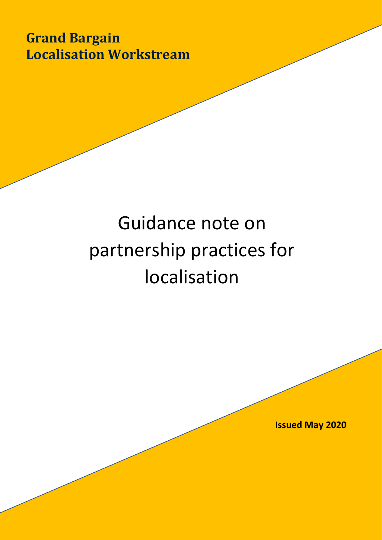**Grand Bargain Localisation Workstream** 

# Guidance note on partnership practices for localisation

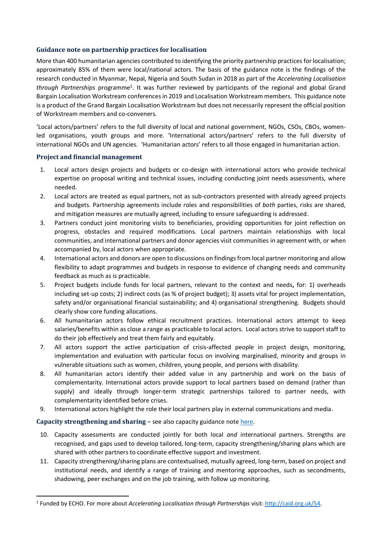# **Guidance note on partnership practices for localisation**

More than 400 humanitarian agencies contributed to identifying the priority partnership practices for localisation; approximately 85% of them were local/national actors. The basis of the guidance note is the findings of the research conducted in Myanmar, Nepal, Nigeria and South Sudan in 2018 as part of the *Accelerating Localisation*  through Partnerships programme<sup>1</sup>. It was further reviewed by participants of the regional and global Grand Bargain Localisation Workstream conferences in 2019 and Localisation Workstream members. This guidance note is a product of the Grand Bargain Localisation Workstream but does not necessarily represent the official position of Workstream members and co-conveners.

'Local actors/partners' refers to the full diversity of local and national government, NGOs, CSOs, CBOs, womenled organisations, youth groups and more. 'International actors/partners' refers to the full diversity of international NGOs and UN agencies. 'Humanitarian actors' refers to all those engaged in humanitarian action.

## **Project and financial management**

- 1. Local actors design projects and budgets or co-design with international actors who provide technical expertise on proposal writing and technical issues, including conducting joint needs assessments, where needed.
- 2. Local actors are treated as equal partners, not as sub-contractors presented with already agreed projects and budgets. Partnership agreements include roles and responsibilities of *both* parties, risks are shared, and mitigation measures are mutually agreed, including to ensure safeguarding is addressed.
- 3. Partners conduct joint monitoring visits to beneficiaries, providing opportunities for joint reflection on progress, obstacles and required modifications. Local partners maintain relationships with local communities, and international partners and donor agencies visit communities in agreement with, or when accompanied by, local actors when appropriate.
- 4. International actors and donors are open to discussions on findings from local partner monitoring and allow flexibility to adapt programmes and budgets in response to evidence of changing needs and community feedback as much as is practicable.
- 5. Project budgets include funds for local partners, relevant to the context and needs**,** for: 1) overheads including set-up costs; 2) indirect costs (as % of project budget); 3) assets vital for project implementation, safety and/or organisational financial sustainability; and 4) organisational strengthening. Budgets should clearly show core funding allocations.
- 6. All humanitarian actors follow ethical recruitment practices. International actors attempt to keep salaries/benefits within as close a range as practicable to local actors. Local actors strive to support staff to do their job effectively and treat them fairly and equitably.
- 7. All actors support the active participation of crisis-affected people in project design, monitoring, implementation and evaluation with particular focus on involving marginalised, minority and groups in vulnerable situations such as women, children, young people, and persons with disability.
- 8. All humanitarian actors identify their added value in any partnership and work on the basis of complementarity. International actors provide support to local partners based on demand (rather than supply) and ideally through longer-term strategic partnerships tailored to partner needs, with complementarity identified before crises.
- 9. International actors highlight the role their local partners play in external communications and media.

# **Capacity strengthening and sharing –** see also capacity guidance not[e here.](http://media.ifrc.org/grand_bargain_localisation/)

- 10. Capacity assessments are conducted jointly for both local *and* international partners. Strengths are recognised, and gaps used to develop tailored, long-term, capacity strengthening/sharing plans which are shared with other partners to coordinate effective support and investment.
- 11. Capacity strengthening/sharing plans are contextualised, mutually agreed, long-term, based on project and institutional needs, and identify a range of training and mentoring approaches, such as secondments, shadowing, peer exchanges and on the job training, with follow up monitoring.

<sup>1</sup> Funded by ECHO. For more about *Accelerating Localisation through Partnerships* visit: [http://caid.org.uk/54.](http://caid.org.uk/54)